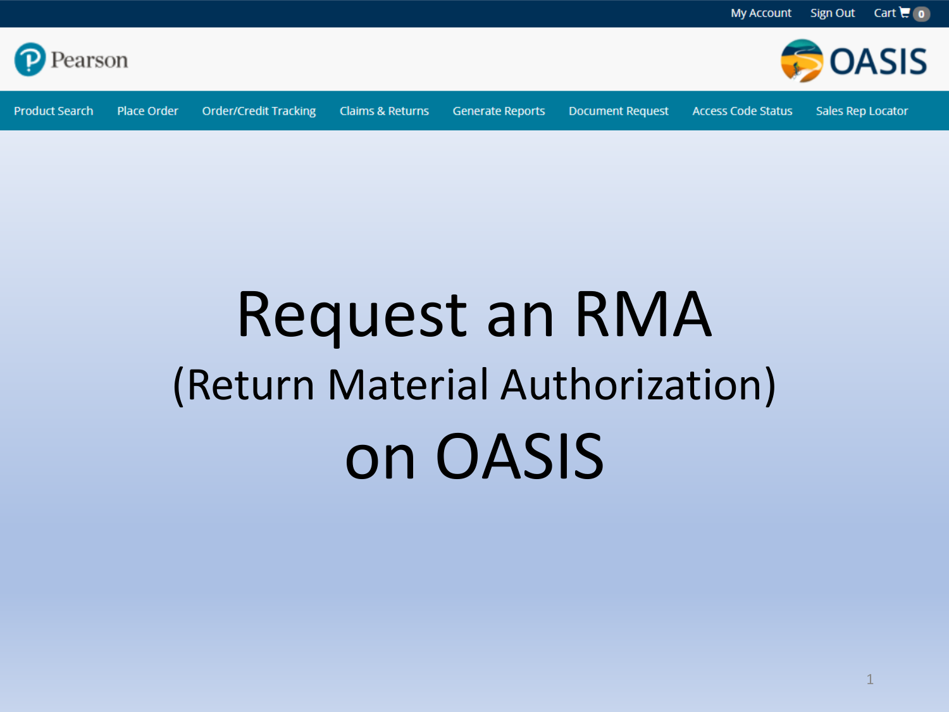

**Order/Credit Tracking Product Search Place Order** 

**Claims & Returns** 

**Generate Reports** 

**Document Request** 

**Access Code Status** 

Sales Rep Locator

**OASIS** 

# **Request an RMA** (Return Material Authorization) on OASIS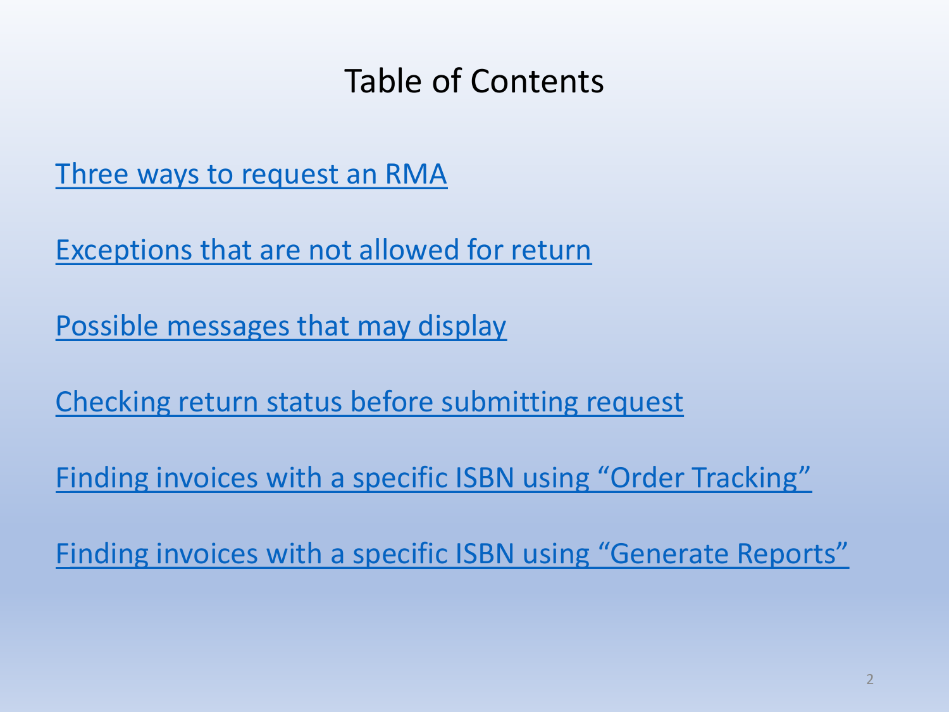# Table of Contents

<span id="page-1-0"></span>[Three ways to request an RMA](#page-1-0)

[Exceptions that are not allowed for return](#page-9-0)

[Possible messages that may display](#page-9-0)

[Checking return status before submitting request](#page-12-0)

F[inding invoices with a specific ISBN using "Order Tracking"](#page-14-0)

Finding invoices with a [specific ISBN using "Generate Reports"](#page-15-0)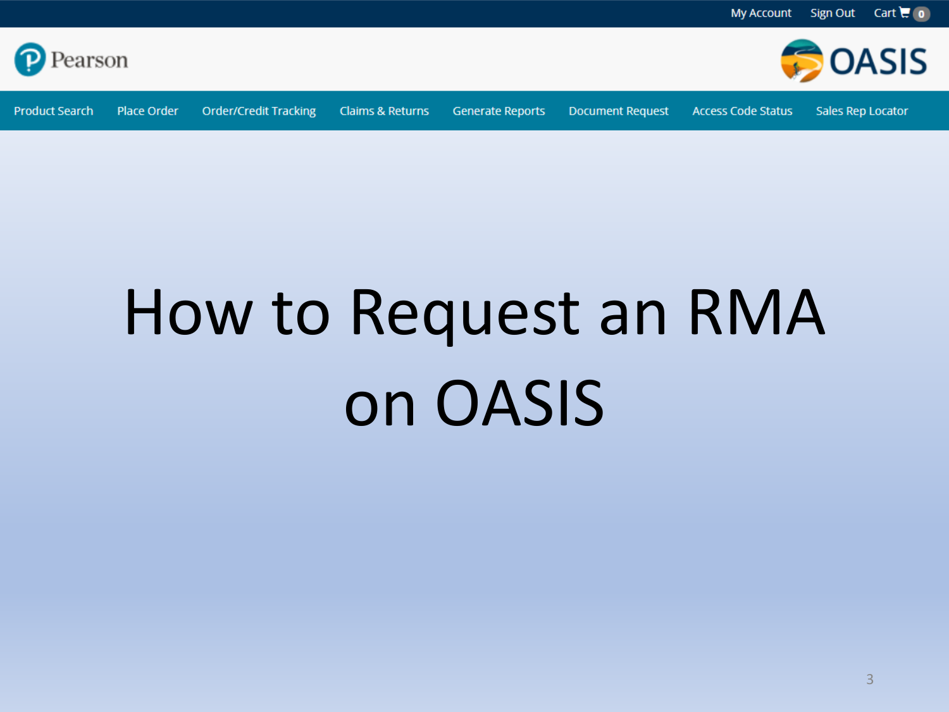

**Product Search** Place Order

**Order/Credit Tracking Claims & Returns**  **Generate Reports** 

**Document Request** 

**Access Code Status** 

Sales Rep Locator

**BOASIS** 

# How to Request an RMA on OASIS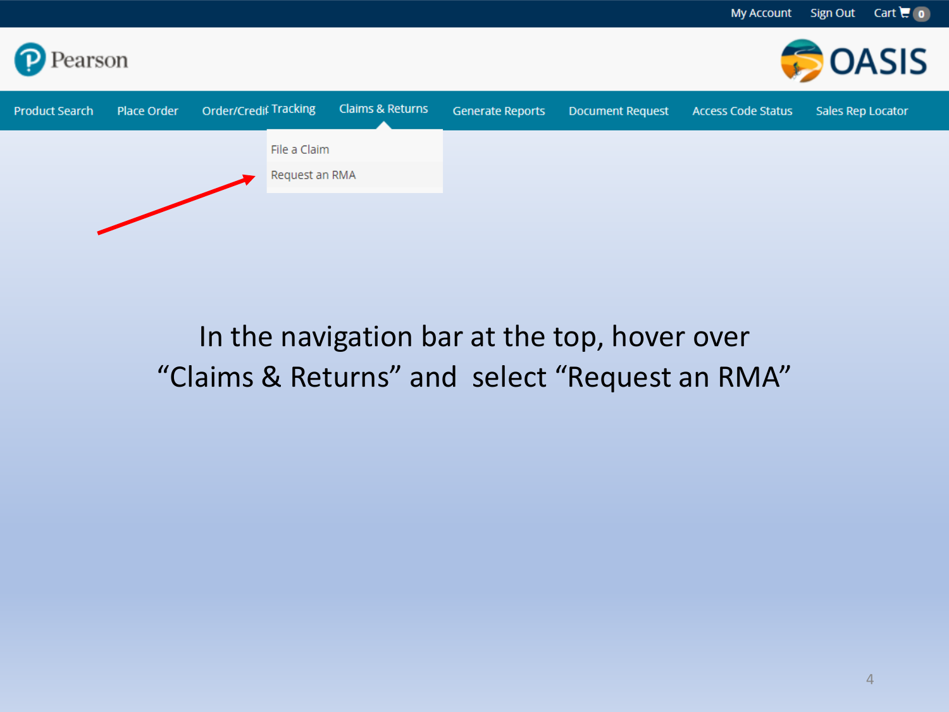

# In the navigation bar at the top, hover over "Claims & Returns" and select "Request an RMA"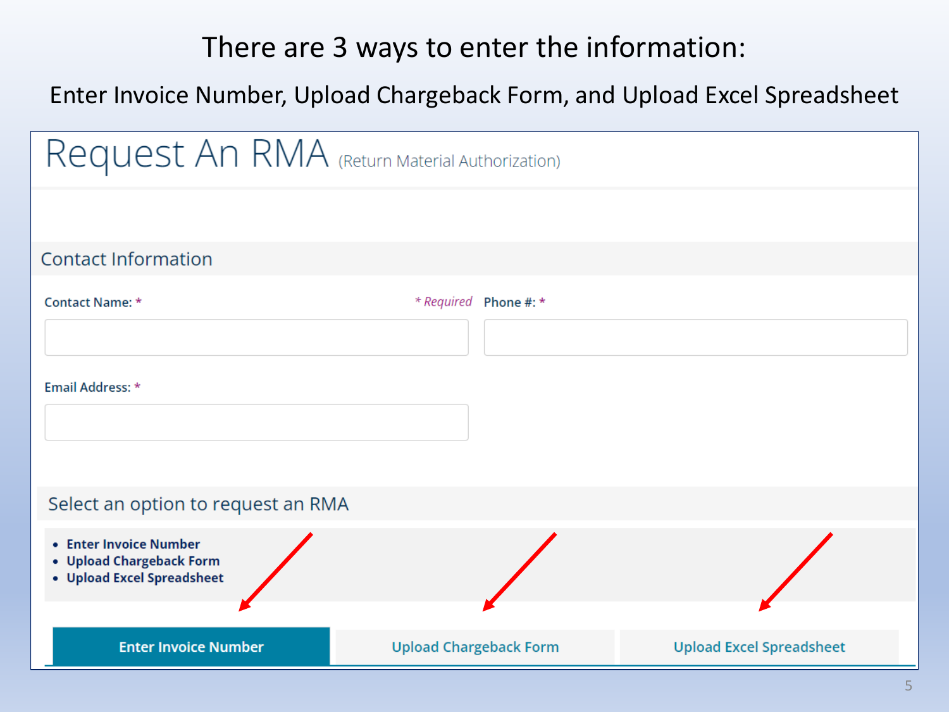## There are 3 ways to enter the information:

#### Enter Invoice Number, Upload Chargeback Form, and Upload Excel Spreadsheet

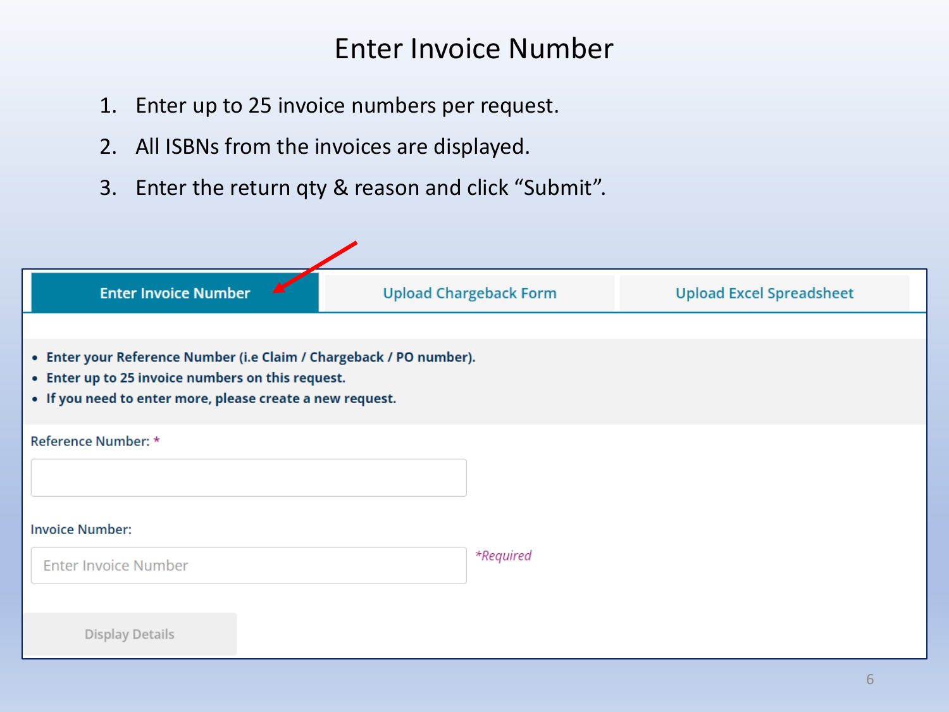### Enter Invoice Number

- 1. Enter up to 25 invoice numbers per request.
- 2. All ISBNs from the invoices are displayed.
- 3. Enter the return qty & reason and click "Submit".

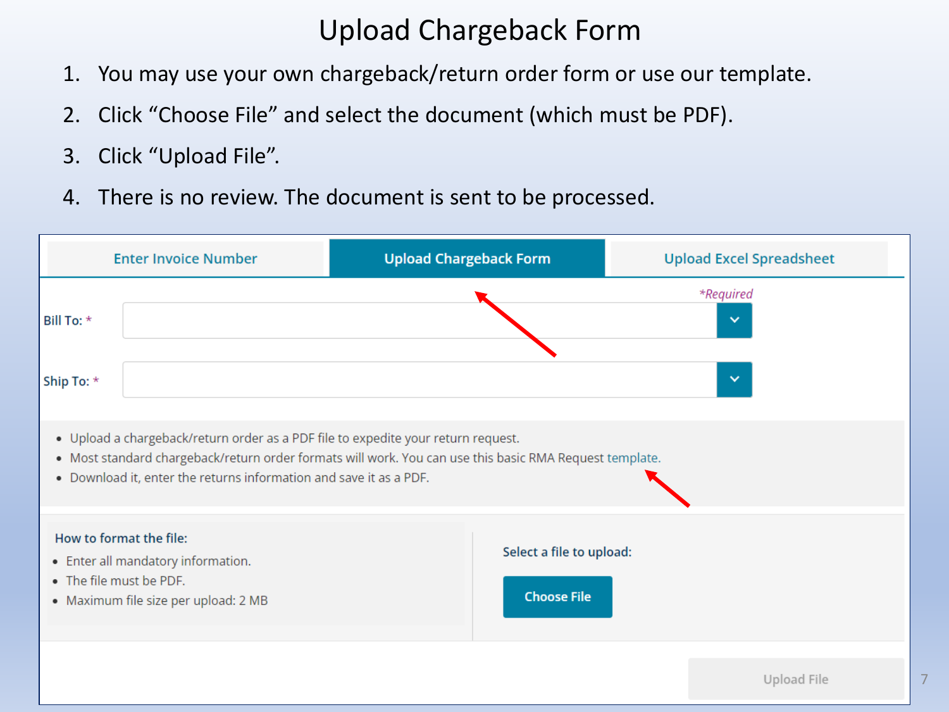## Upload Chargeback Form

- 1. You may use your own chargeback/return order form or use our template.
- 2. Click "Choose File" and select the document (which must be PDF).
- 3. Click "Upload File".
- 4. There is no review. The document is sent to be processed.

|                         | <b>Enter Invoice Number</b>                                                                                                                                                                                                                                                                      | <b>Upload Chargeback Form</b>                  | <b>Upload Excel Spreadsheet</b> |  |  |  |  |  |  |  |
|-------------------------|--------------------------------------------------------------------------------------------------------------------------------------------------------------------------------------------------------------------------------------------------------------------------------------------------|------------------------------------------------|---------------------------------|--|--|--|--|--|--|--|
| Bill To: *              |                                                                                                                                                                                                                                                                                                  |                                                | *Required<br>$\checkmark$       |  |  |  |  |  |  |  |
|                         | $\checkmark$<br>Ship To: *<br>. Upload a chargeback/return order as a PDF file to expedite your return request.<br>. Most standard chargeback/return order formats will work. You can use this basic RMA Request template.<br>. Download it, enter the returns information and save it as a PDF. |                                                |                                 |  |  |  |  |  |  |  |
| • The file must be PDF. | How to format the file:<br>• Enter all mandatory information.<br>• Maximum file size per upload: 2 MB                                                                                                                                                                                            | Select a file to upload:<br><b>Choose File</b> |                                 |  |  |  |  |  |  |  |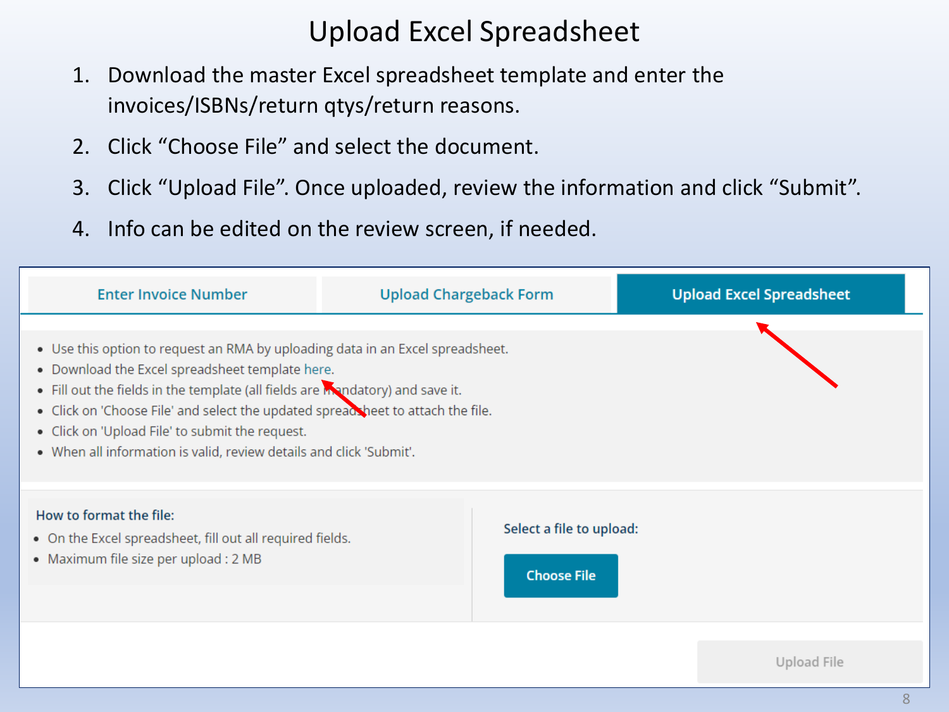## Upload Excel Spreadsheet

- 1. Download the master Excel spreadsheet template and enter the invoices/ISBNs/return qtys/return reasons.
- 2. Click "Choose File" and select the document.
- 3. Click "Upload File". Once uploaded, review the information and click "Submit".
- 4. Info can be edited on the review screen, if needed.

| <b>Enter Invoice Number</b>                                                                                                                                                                                                                                                                                                                                                                                                     | <b>Upload Chargeback Form</b>                  | <b>Upload Excel Spreadsheet</b> |
|---------------------------------------------------------------------------------------------------------------------------------------------------------------------------------------------------------------------------------------------------------------------------------------------------------------------------------------------------------------------------------------------------------------------------------|------------------------------------------------|---------------------------------|
| • Use this option to request an RMA by uploading data in an Excel spreadsheet.<br>• Download the Excel spreadsheet template here.<br>. Fill out the fields in the template (all fields are mandatory) and save it.<br>. Click on 'Choose File' and select the updated spreadsheet to attach the file.<br>• Click on 'Upload File' to submit the request.<br>. When all information is valid, review details and click 'Submit'. |                                                |                                 |
| How to format the file:<br>. On the Excel spreadsheet, fill out all required fields.<br>• Maximum file size per upload : 2 MB                                                                                                                                                                                                                                                                                                   | Select a file to upload:<br><b>Choose File</b> |                                 |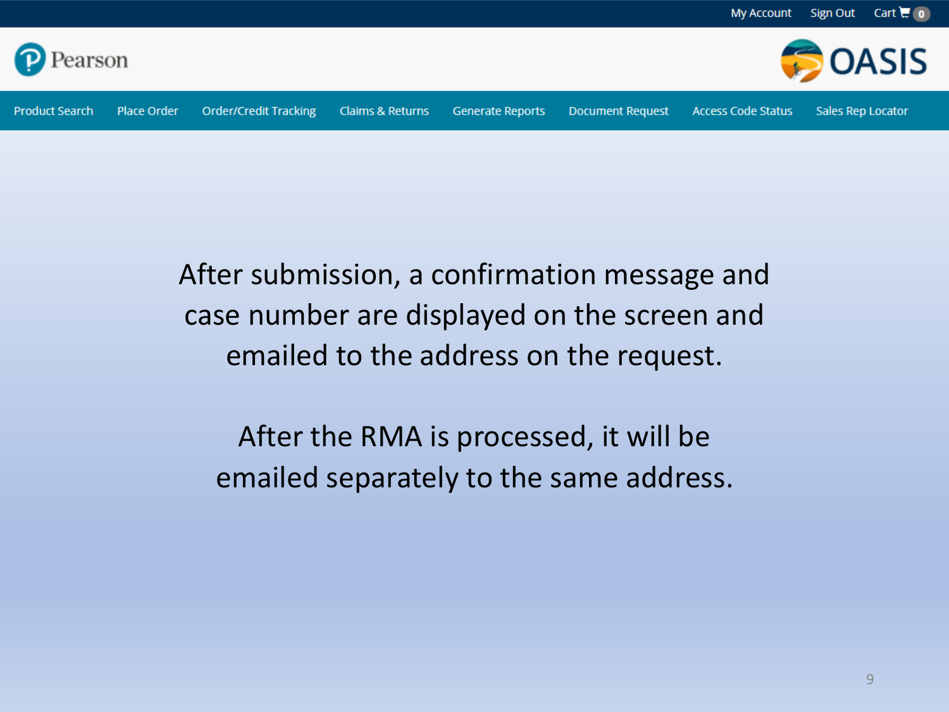



**Place Order** 

**Product Search** 

**Generate Reports** 

**Document Request** 

**Access Code Status** 

Sales Rep Locator

After submission, a confirmation message and case number are displayed on the screen and emailed to the address on the request.

After the RMA is processed, it will be emailed separately to the same address.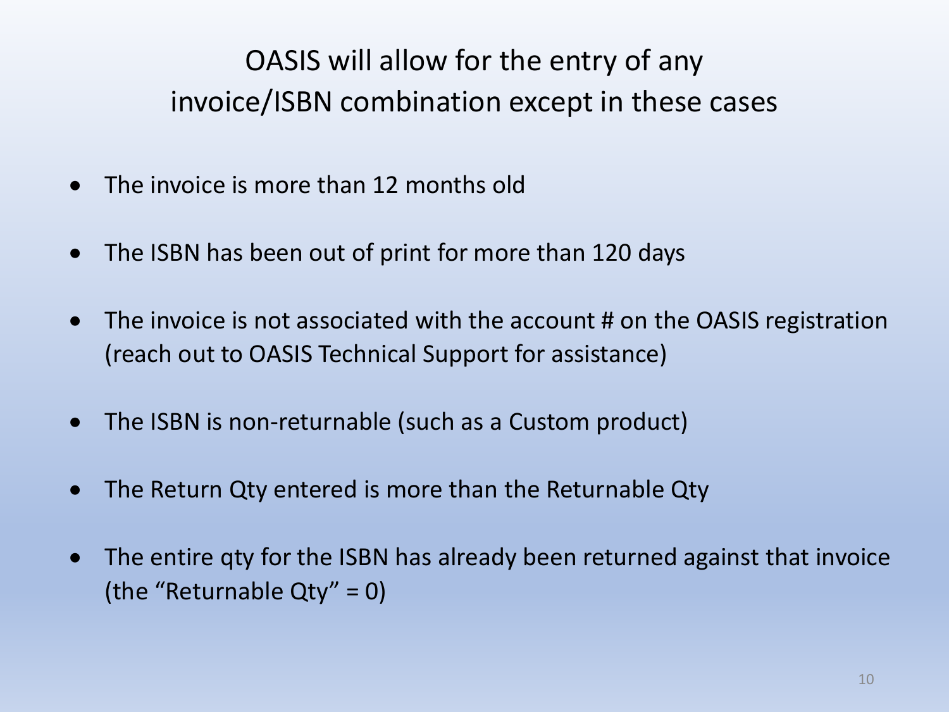# <span id="page-9-0"></span>OASIS will allow for the entry of any invoice/ISBN combination except in these cases

- The invoice is more than 12 months old
- The ISBN has been out of print for more than 120 days
- The invoice is not associated with the account # on the OASIS registration (reach out to OASIS Technical Support for assistance)
- The ISBN is non-returnable (such as a Custom product)
- The Return Qty entered is more than the Returnable Qty
- The entire qty for the ISBN has already been returned against that invoice (the "Returnable Qty" = 0)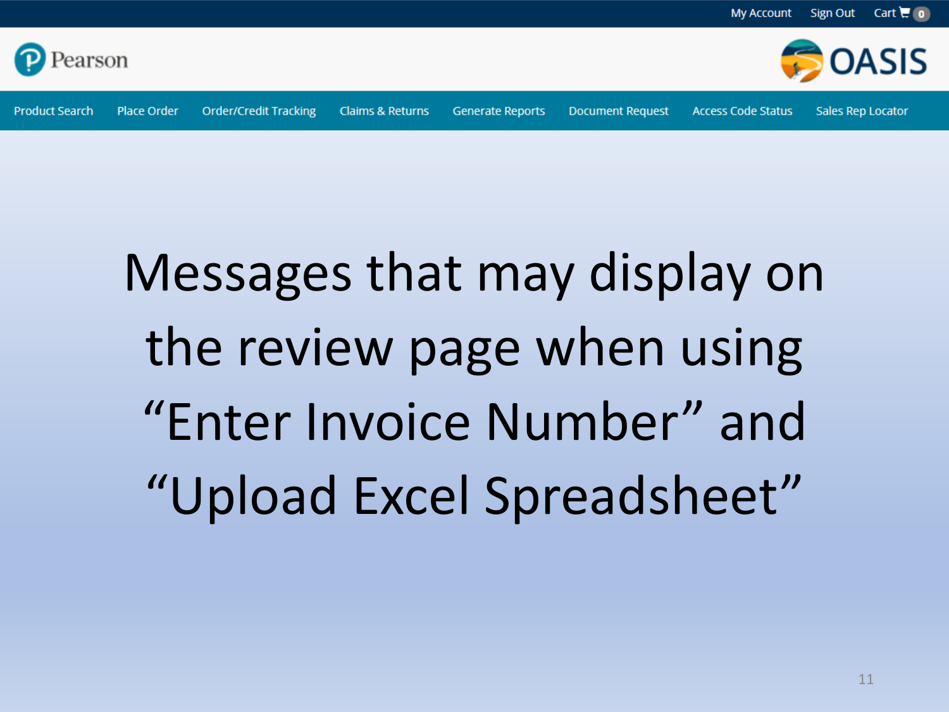



**Generate Reports** 

**Document Request** 

**Access Code Status** 

**Sales Rep Locator** 

# Messages that may display on the review page when using "Enter Invoice Number" and "Upload Excel Spreadsheet"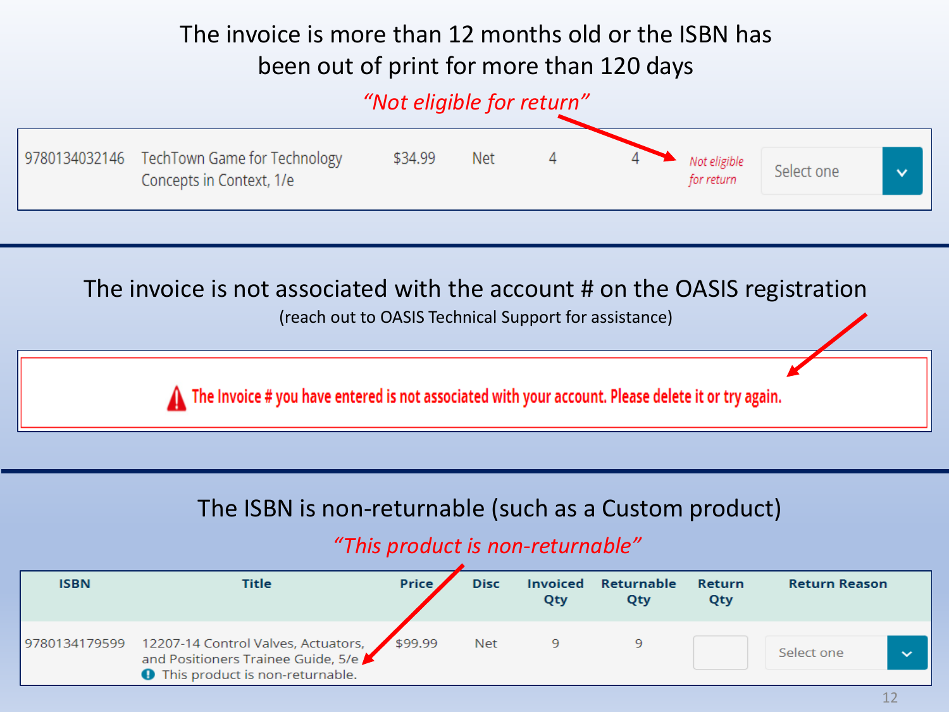### The invoice is more than 12 months old or the ISBN has been out of print for more than 120 days

#### *"Not eligible for return"*



#### The invoice is not associated with the account # on the OASIS registration

(reach out to OASIS Technical Support for assistance)

The Invoice # you have entered is not associated with your account. Please delete it or try again.

#### The ISBN is non-returnable (such as a Custom product)

#### *"This product is non-returnable"*

| <b>ISBN</b>   | Title                                                                                                                         | <b>Price</b> | <b>Disc</b> | Qty | <b>Invoiced Returnable</b><br>Qty | Return<br>Qty | <b>Return Reason</b> |                       |
|---------------|-------------------------------------------------------------------------------------------------------------------------------|--------------|-------------|-----|-----------------------------------|---------------|----------------------|-----------------------|
| 9780134179599 | 12207-14 Control Valves, Actuators, \$99.99<br>and Positioners Trainee Guide, 5/e<br><b>O</b> This product is non-returnable. |              | <b>Net</b>  | 9   |                                   |               | Select one           | $\tilde{\phantom{a}}$ |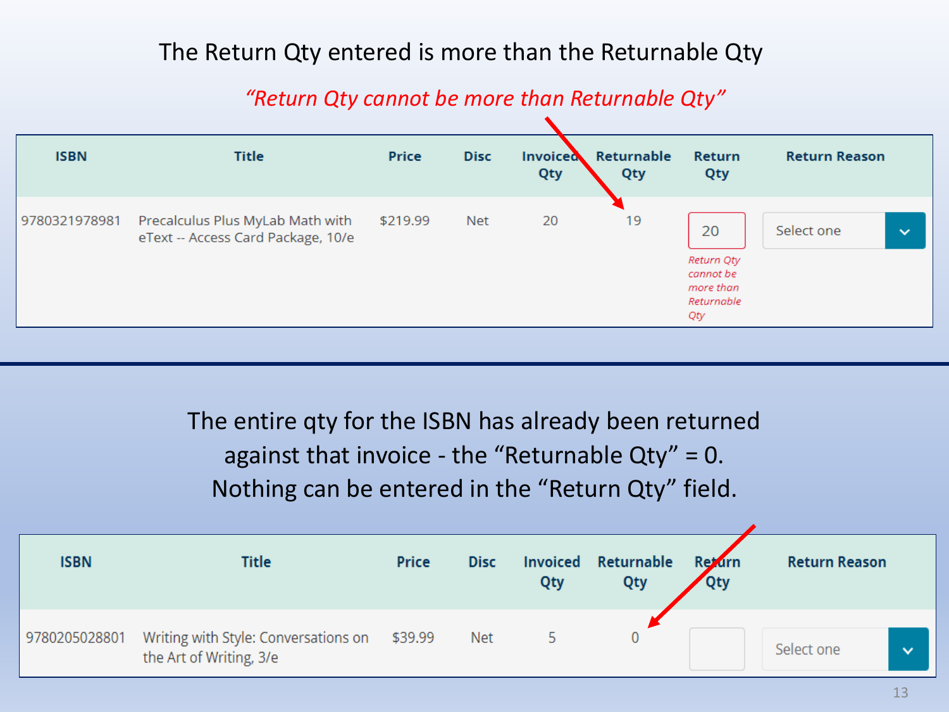#### The Return Qty entered is more than the Returnable Qty

*"Return Qty cannot be more than Returnable Qty"*

<span id="page-12-0"></span>

| <b>ISBN</b>   | <b>Title</b>                                                           | <b>Price</b> | <b>Disc</b> | Invoiced<br>Qty | Returnable<br>Qty | <b>Return</b><br>Qty                                            | <b>Return Reason</b> |              |
|---------------|------------------------------------------------------------------------|--------------|-------------|-----------------|-------------------|-----------------------------------------------------------------|----------------------|--------------|
| 9780321978981 | Precalculus Plus MyLab Math with<br>eText -- Access Card Package, 10/e | \$219.99     | <b>Net</b>  | 20              | 19                | 20<br>Return Qty<br>cannot be<br>more than<br>Returnable<br>Qty | Select one           | $\checkmark$ |

The entire qty for the ISBN has already been returned against that invoice - the "Returnable  $Qty" = 0$ . Nothing can be entered in the "Return Qty" field.

| <b>ISBN</b>   | <b>Title</b>                                                    | Price   | <b>Disc</b> | Qty | <b>Invoiced Returnable</b><br>Qty | <b>Retarn</b><br><b>Qty</b> | <b>Return Reason</b>       |
|---------------|-----------------------------------------------------------------|---------|-------------|-----|-----------------------------------|-----------------------------|----------------------------|
| 9780205028801 | Writing with Style: Conversations on<br>the Art of Writing, 3/e | \$39.99 | <b>Net</b>  |     | 0                                 |                             | Select one<br>$\checkmark$ |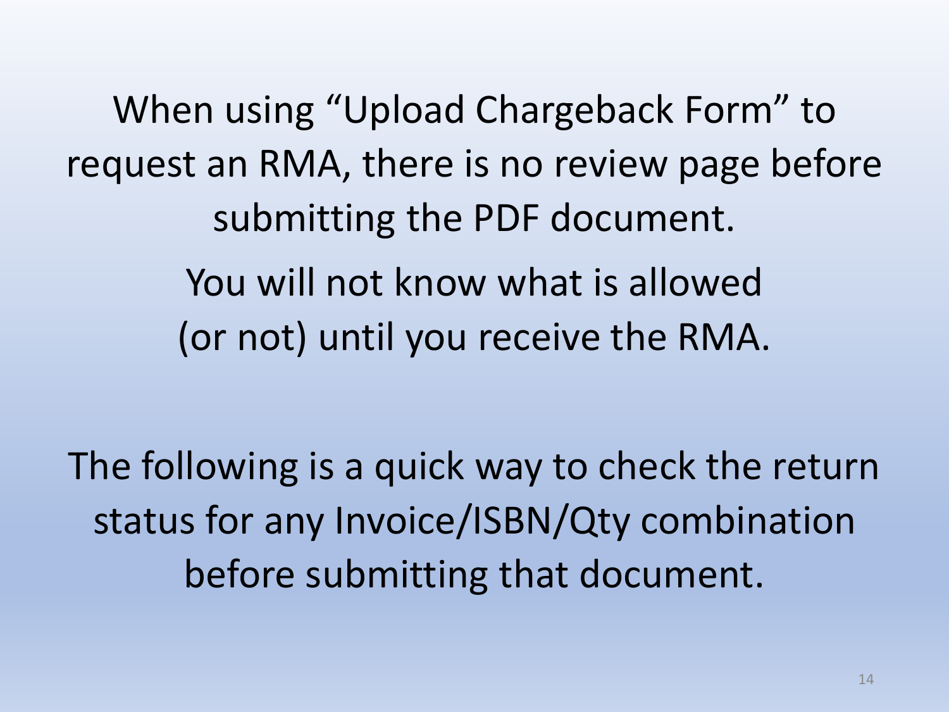When using "Upload Chargeback Form" to request an RMA, there is no review page before submitting the PDF document. You will not know what is allowed (or not) until you receive the RMA.

The following is a quick way to check the return status for any Invoice/ISBN/Qty combination before submitting that document.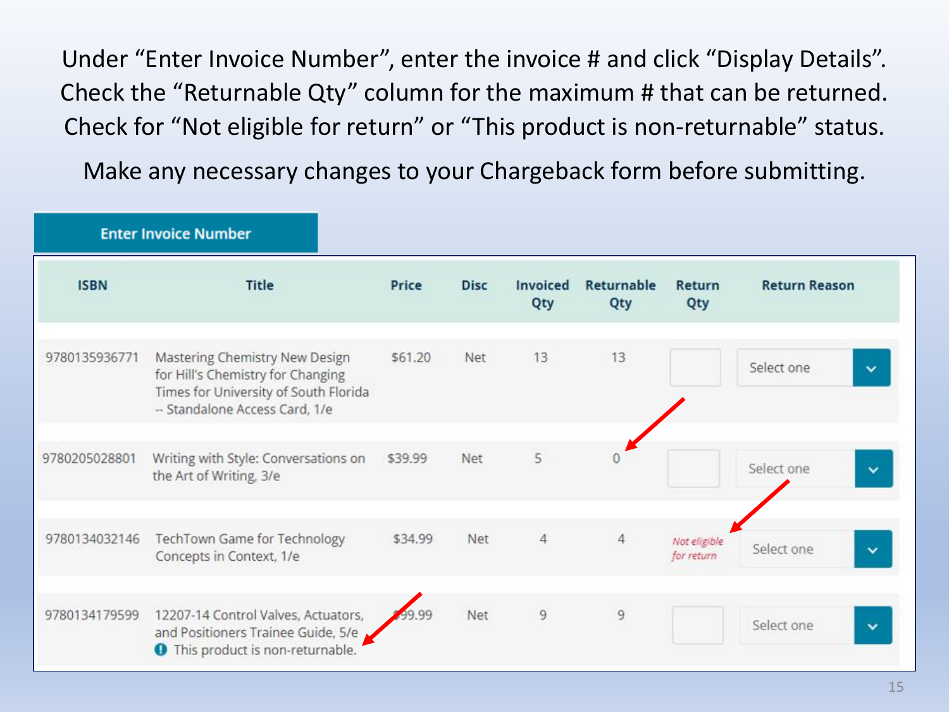<span id="page-14-0"></span>Under "Enter Invoice Number", enter the invoice # and click "Display Details". Check the "Returnable Qty" column for the maximum # that can be returned. Check for "Not eligible for return" or "This product is non-returnable" status.

Make any necessary changes to your Chargeback form before submitting.

|               | <b>Enter Invoice Number</b>                                                                                                                    |         |             |                 |                   |                            |                            |  |  |
|---------------|------------------------------------------------------------------------------------------------------------------------------------------------|---------|-------------|-----------------|-------------------|----------------------------|----------------------------|--|--|
| <b>ISBN</b>   | <b>Title</b>                                                                                                                                   | Price   | <b>Disc</b> | Invoiced<br>Qty | Returnable<br>Qty | Return<br>Qty              | <b>Return Reason</b>       |  |  |
| 9780135936771 | Mastering Chemistry New Design<br>for Hill's Chemistry for Changing<br>Times for University of South Florida<br>-- Standalone Access Card, 1/e | \$61.20 | Net         | 13              | 13                |                            | Select one<br>$\checkmark$ |  |  |
| 9780205028801 | Writing with Style: Conversations on<br>the Art of Writing, 3/e                                                                                | \$39.99 | Net         | 5               |                   |                            | Select one<br>v            |  |  |
| 9780134032146 | TechTown Game for Technology<br>Concepts in Context, 1/e                                                                                       | \$34.99 | Net         | 4               | $\overline{4}$    | Not eligible<br>for return | Select one<br>v            |  |  |
| 9780134179599 | 12207-14 Control Valves, Actuators,<br>and Positioners Trainee Guide, 5/e<br><b>O</b> This product is non-returnable.                          | 99.99   | Net         | 9               | $\overline{9}$    |                            | Select one<br>$\check{ }$  |  |  |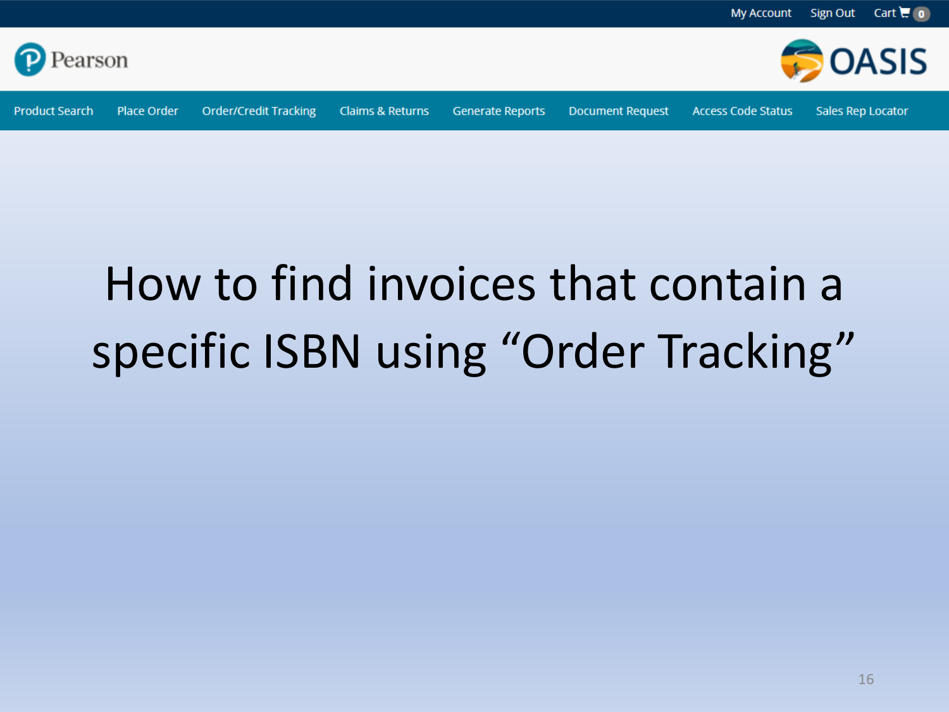

<span id="page-15-0"></span>

**Order/Credit Tracking** 

**Claims & Returns** 

**Generate Reports** 

**Document Request** 

**Access Code Status** 

Sales Rep Locator

**OASIS** 

# How to find invoices that contain a specific ISBN using "Order Tracking"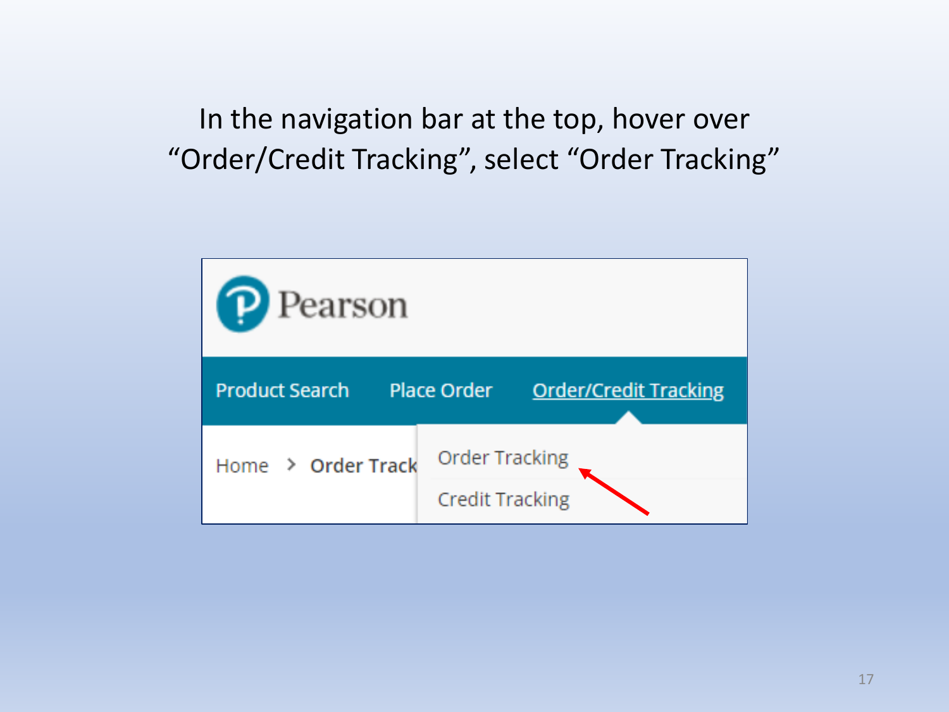In the navigation bar at the top, hover over "Order/Credit Tracking", select "Order Tracking"

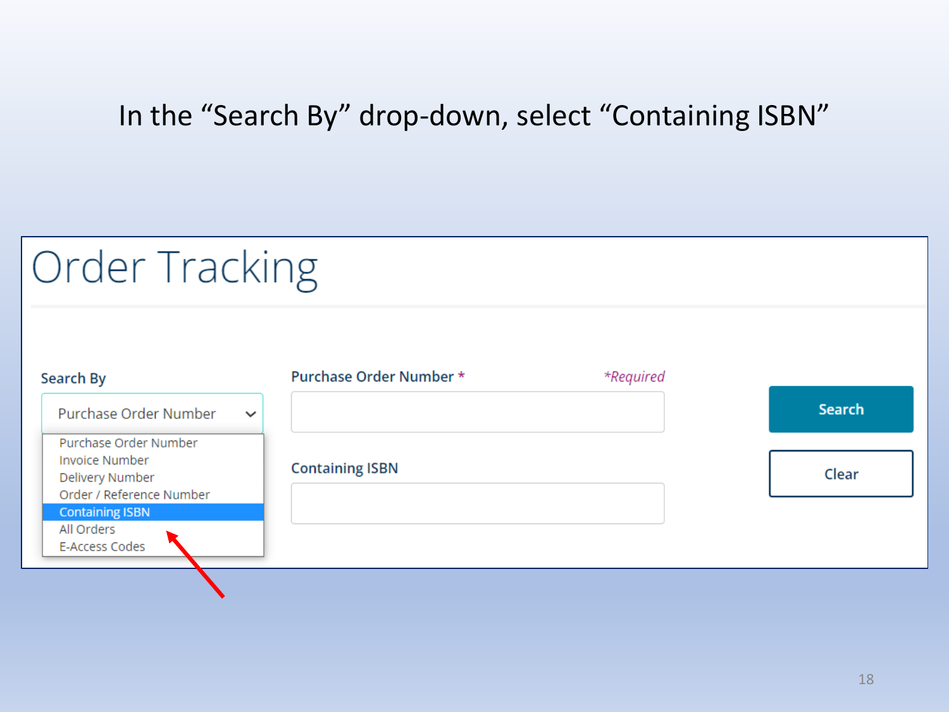## In the "Search By" drop-down, select "Containing ISBN"

# Order Tracking

| Search By                                   | <b>Purchase Order Number *</b> | *Required |        |
|---------------------------------------------|--------------------------------|-----------|--------|
| Purchase Order Number<br>$\checkmark$       |                                |           | Search |
| Purchase Order Number                       |                                |           |        |
| <b>Invoice Number</b>                       | <b>Containing ISBN</b>         |           | Clear  |
| Delivery Number<br>Order / Reference Number |                                |           |        |
| <b>Containing ISBN</b>                      |                                |           |        |
| All Orders                                  |                                |           |        |
| E-Access Codes                              |                                |           |        |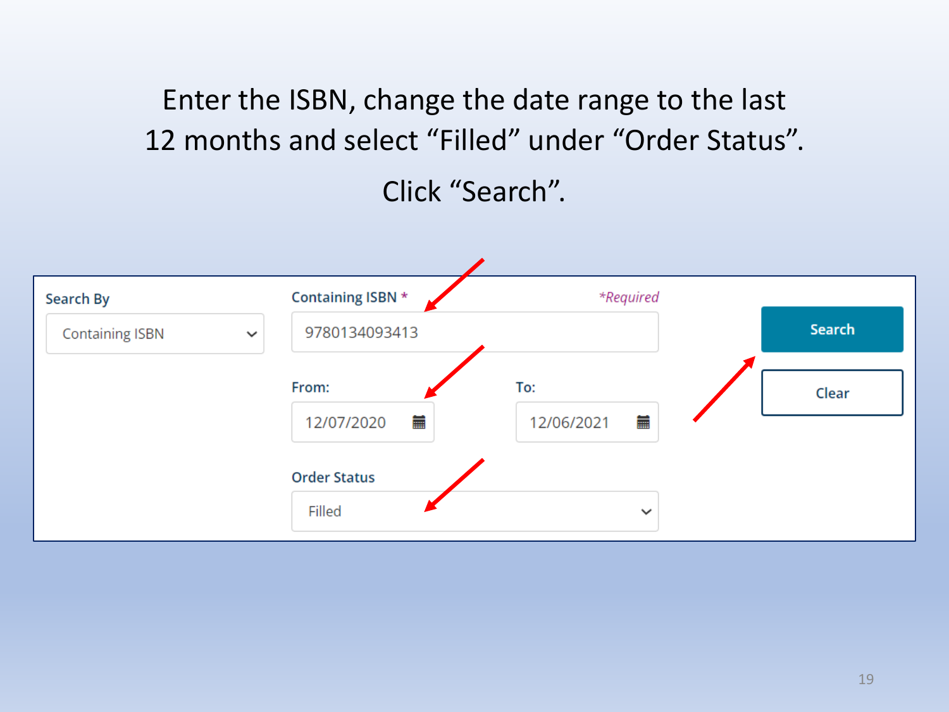Enter the ISBN, change the date range to the last 12 months and select "Filled" under "Order Status".

Click "Search".

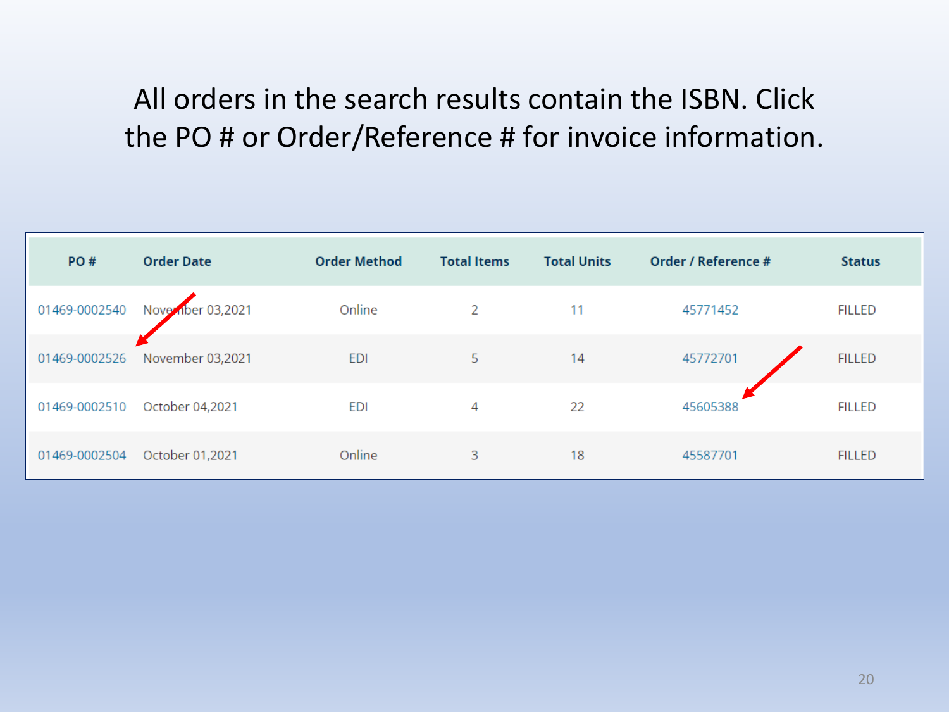# <span id="page-19-0"></span>All orders in the search results contain the ISBN. Click the PO # or Order/Reference # for invoice information.

| PO#           | <b>Order Date</b> | <b>Order Method</b> | <b>Total Items</b> | <b>Total Units</b> | Order / Reference # | <b>Status</b> |
|---------------|-------------------|---------------------|--------------------|--------------------|---------------------|---------------|
| 01469-0002540 | Nove nber 03,2021 | Online              | 2                  | 11                 | 45771452            | <b>FILLED</b> |
| 01469-0002526 | November 03,2021  | <b>EDI</b>          | 5                  | 14                 | 45772701            | <b>FILLED</b> |
| 01469-0002510 | October 04,2021   | <b>EDI</b>          | 4                  | 22                 | 45605388            | <b>FILLED</b> |
| 01469-0002504 | October 01,2021   | Online              | 3                  | 18                 | 45587701            | <b>FILLED</b> |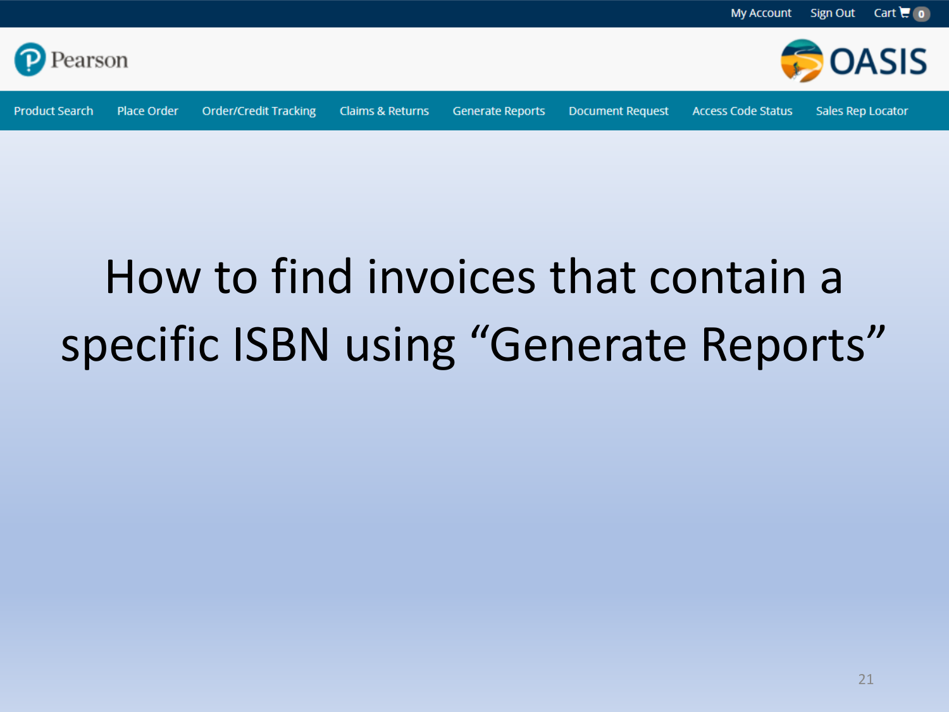

**Product Search** 

**Generate Reports** 

**Document Request** 

**Access Code Status** 

**My Account** 

Sales Rep Locator

Sign Out

Cart  $\overline{u}$  o

**OASIS** 

# How to find invoices that contain a specific ISBN using "Generate Reports"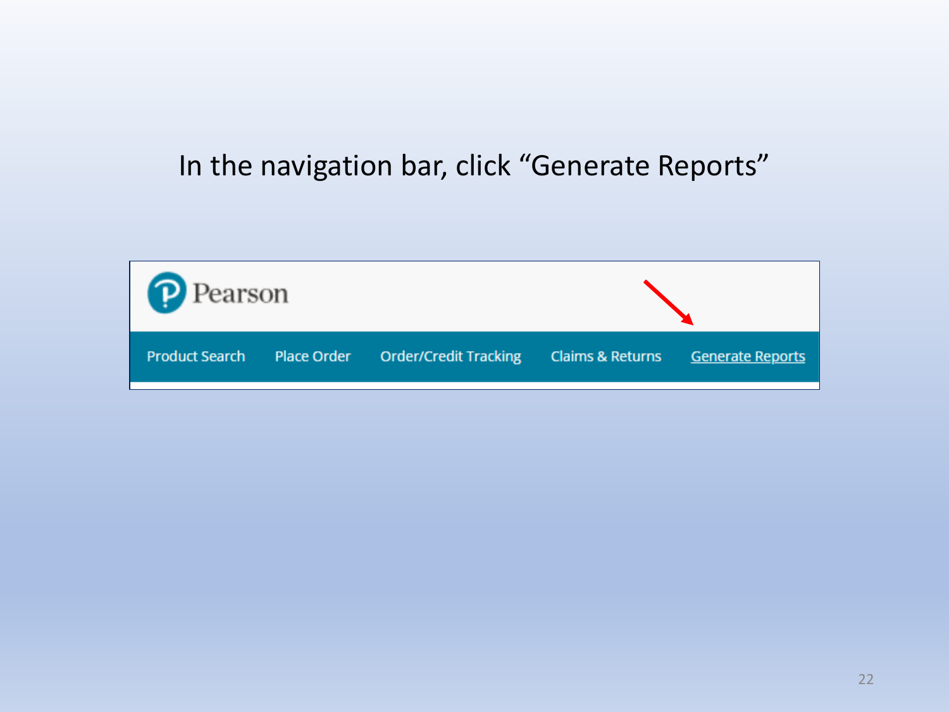### In the navigation bar, click "Generate Reports"

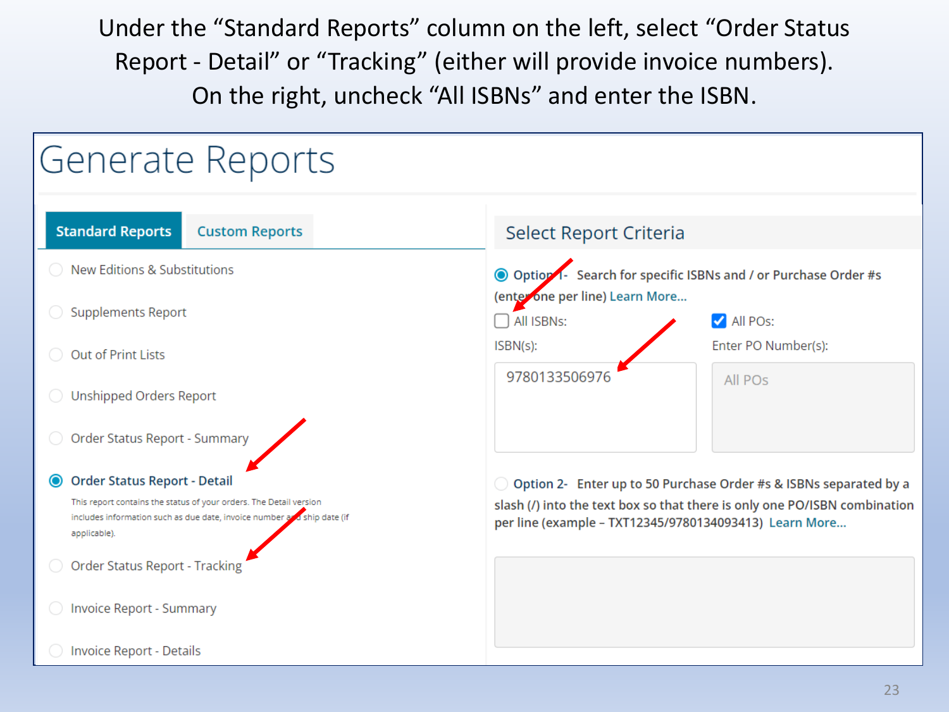Under the "Standard Reports" column on the left, select "Order Status Report - Detail" or "Tracking" (either will provide invoice numbers). On the right, uncheck "All ISBNs" and enter the ISBN.

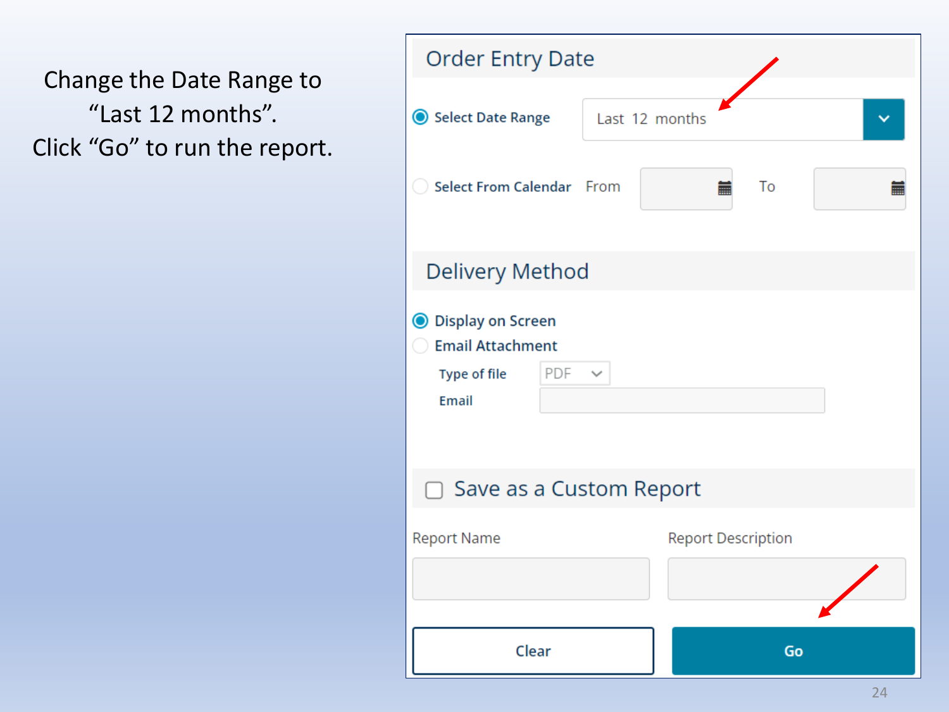Change the Date Range to "Last 12 months". Click "Go" to run the report.

| <b>Order Entry Date</b>                                                                      |                           |
|----------------------------------------------------------------------------------------------|---------------------------|
| Select Date Range                                                                            | Last 12 months            |
| Select From Calendar From                                                                    | To<br>萹                   |
| Delivery Method                                                                              |                           |
| <b>O</b> Display on Screen<br><b>Email Attachment</b><br>PDF<br>Type of file<br><b>Email</b> |                           |
| Save as a Custom Report                                                                      |                           |
| <b>Report Name</b>                                                                           | <b>Report Description</b> |
| Clear                                                                                        | Go                        |
|                                                                                              | 24                        |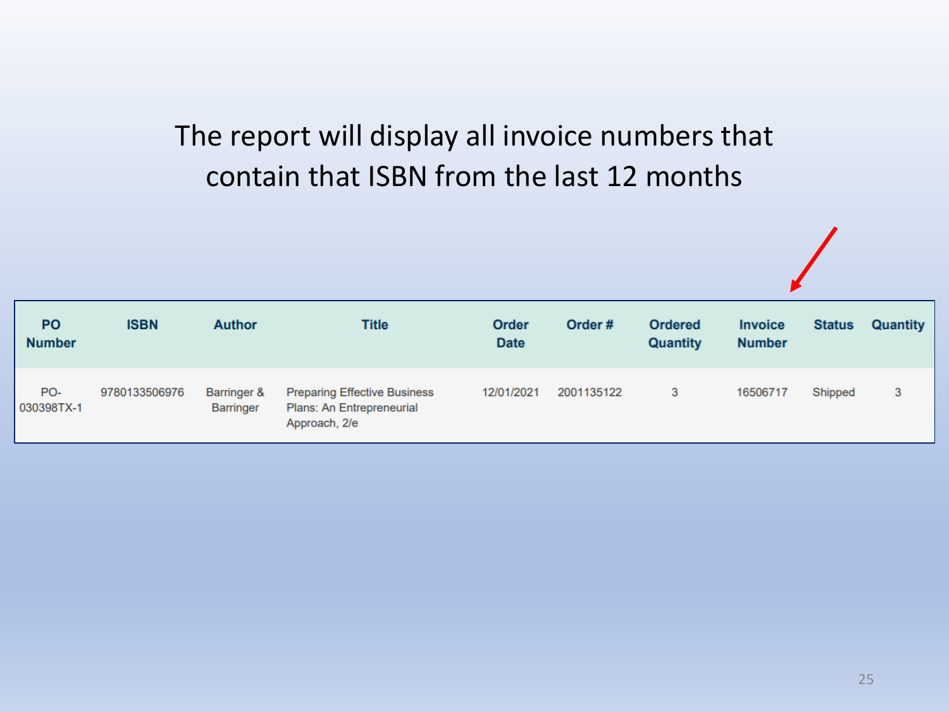# The report will display all invoice numbers that contain that ISBN from the last 12 months

| <b>PO</b><br><b>Number</b> | <b>ISBN</b>   | <b>Author</b>                              | Title                                                                             | <b>Order</b><br><b>Date</b> | Order#     | <b>Ordered</b><br><b>Quantity</b> | <b>Invoice</b><br><b>Number</b> | <b>Status</b> | Quantity |
|----------------------------|---------------|--------------------------------------------|-----------------------------------------------------------------------------------|-----------------------------|------------|-----------------------------------|---------------------------------|---------------|----------|
| PO-<br>030398TX-1          | 9780133506976 | <b>Barringer &amp;</b><br><b>Barringer</b> | <b>Preparing Effective Business</b><br>Plans: An Entrepreneurial<br>Approach, 2/e | 12/01/2021                  | 2001135122 | 3                                 | 16506717                        | Shipped       | 3        |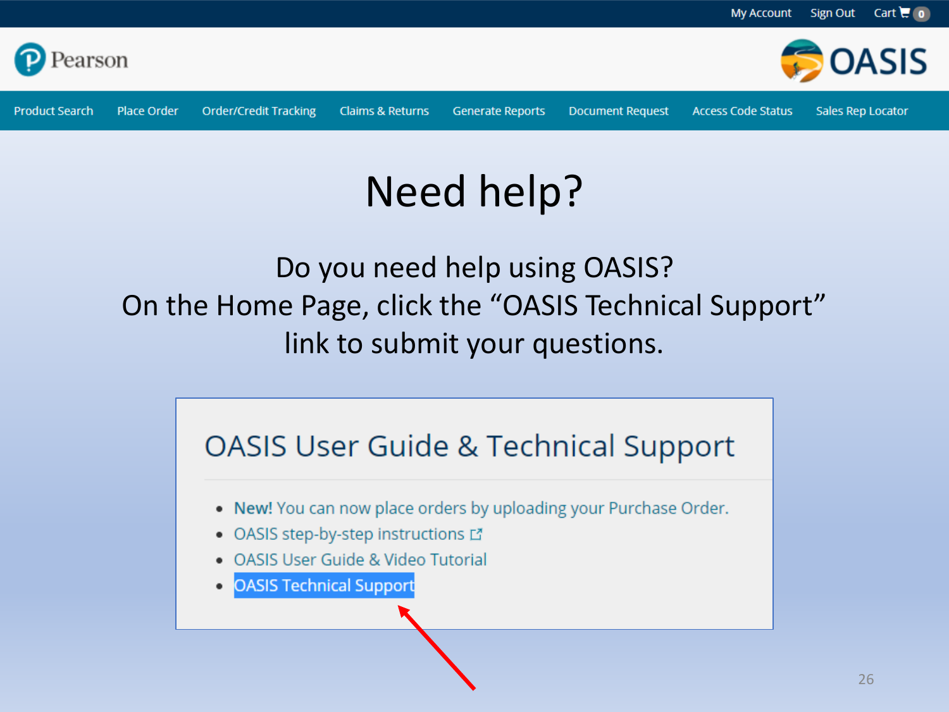

**Product Search** 

**Claims & Returns** 

**Generate Reports** 

**Document Request** 

**Access Code Status** 

Sales Rep Locator

# Need help?

Do you need help using OASIS? On the Home Page, click the "OASIS Technical Support" link to submit your questions.

# **OASIS User Guide & Technical Support**

- . New! You can now place orders by uploading your Purchase Order.
- OASIS step-by-step instructions L'
- OASIS User Guide & Video Tutorial
- **OASIS Technical Support**